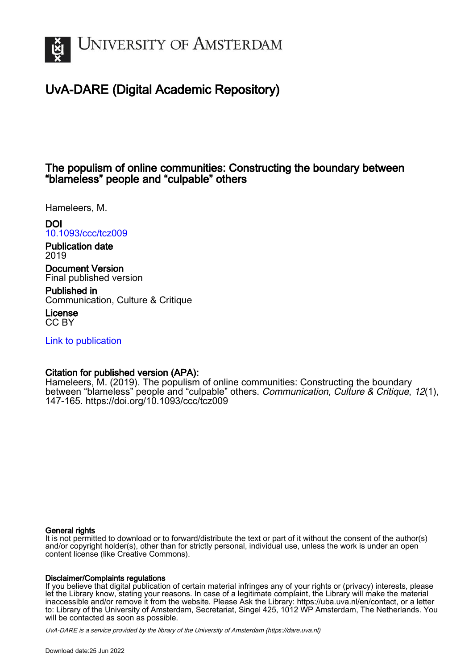

# UvA-DARE (Digital Academic Repository)

# The populism of online communities: Constructing the boundary between "blameless" people and "culpable" others

Hameleers, M.

DOI

[10.1093/ccc/tcz009](https://doi.org/10.1093/ccc/tcz009)

Publication date 2019

Document Version Final published version

Published in Communication, Culture & Critique

License CC BY

[Link to publication](https://dare.uva.nl/personal/pure/en/publications/the-populism-of-online-communities-constructing-the-boundary-between-blameless-people-and-culpable-others(17e4d2e3-09c4-4911-b824-853c71587b75).html)

# Citation for published version (APA):

Hameleers, M. (2019). The populism of online communities: Constructing the boundary between "blameless" people and "culpable" others. Communication, Culture & Critique, 12(1), 147-165. <https://doi.org/10.1093/ccc/tcz009>

# General rights

It is not permitted to download or to forward/distribute the text or part of it without the consent of the author(s) and/or copyright holder(s), other than for strictly personal, individual use, unless the work is under an open content license (like Creative Commons).

# Disclaimer/Complaints regulations

If you believe that digital publication of certain material infringes any of your rights or (privacy) interests, please let the Library know, stating your reasons. In case of a legitimate complaint, the Library will make the material inaccessible and/or remove it from the website. Please Ask the Library: https://uba.uva.nl/en/contact, or a letter to: Library of the University of Amsterdam, Secretariat, Singel 425, 1012 WP Amsterdam, The Netherlands. You will be contacted as soon as possible.

UvA-DARE is a service provided by the library of the University of Amsterdam (http*s*://dare.uva.nl)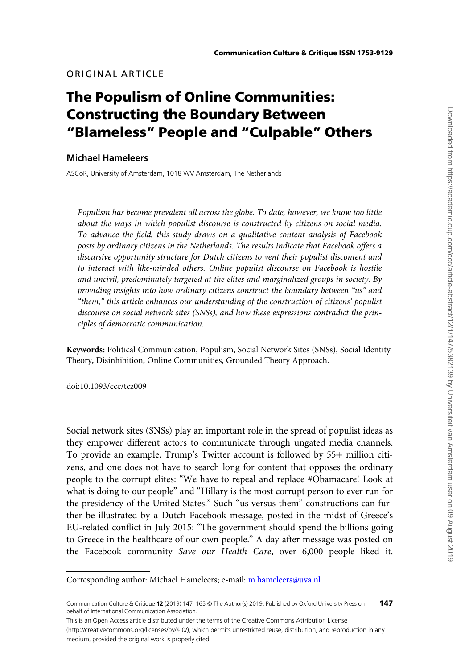# ORIGINAL ARTICLE

# The Populism of Online Communities: Constructing the Boundary Between "Blameless" People and "Culpable" Others

# Michael Hameleers

ASCoR, University of Amsterdam, 1018 WV Amsterdam, The Netherlands

Populism has become prevalent all across the globe. To date, however, we know too little about the ways in which populist discourse is constructed by citizens on social media. To advance the field, this study draws on a qualitative content analysis of Facebook posts by ordinary citizens in the Netherlands. The results indicate that Facebook offers a discursive opportunity structure for Dutch citizens to vent their populist discontent and to interact with like-minded others. Online populist discourse on Facebook is hostile and uncivil, predominately targeted at the elites and marginalized groups in society. By providing insights into how ordinary citizens construct the boundary between "us" and "them," this article enhances our understanding of the construction of citizens' populist discourse on social network sites (SNSs), and how these expressions contradict the principles of democratic communication.

Keywords: Political Communication, Populism, Social Network Sites (SNSs), Social Identity Theory, Disinhibition, Online Communities, Grounded Theory Approach.

doi:10.1093/ccc/tcz009

Social network sites (SNSs) play an important role in the spread of populist ideas as they empower different actors to communicate through ungated media channels. To provide an example, Trump's Twitter account is followed by 55+ million citizens, and one does not have to search long for content that opposes the ordinary people to the corrupt elites: "We have to repeal and replace #Obamacare! Look at what is doing to our people" and "Hillary is the most corrupt person to ever run for the presidency of the United States." Such "us versus them" constructions can further be illustrated by a Dutch Facebook message, posted in the midst of Greece's EU-related conflict in July 2015: "The government should spend the billions going to Greece in the healthcare of our own people." A day after message was posted on the Facebook community Save our Health Care, over 6,000 people liked it.

Corresponding author: Michael Hameleers; e-mail: [m.hameleers@uva.nl](mailto: m.hameleers@uva.nl)

This is an Open Access article distributed under the terms of the Creative Commons Attribution License (http://creativecommons.org/licenses/by/4.0/), which permits unrestricted reuse, distribution, and reproduction in any medium, provided the original work is properly cited.

Communication Culture & Critique 12 (2019) 147-165 © The Author(s) 2019. Published by Oxford University Press on 147 behalf of International Communication Association.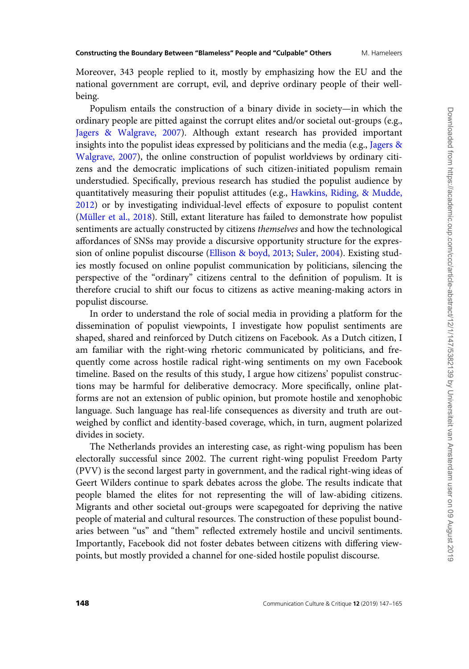Moreover, 343 people replied to it, mostly by emphasizing how the EU and the national government are corrupt, evil, and deprive ordinary people of their wellbeing.

Populism entails the construction of a binary divide in society—in which the ordinary people are pitted against the corrupt elites and/or societal out-groups (e.g., [Jagers & Walgrave, 2007\)](#page-18-0). Although extant research has provided important insights into the populist ideas expressed by politicians and the media (e.g., [Jagers &](#page-18-0) [Walgrave, 2007\)](#page-18-0), the online construction of populist worldviews by ordinary citizens and the democratic implications of such citizen-initiated populism remain understudied. Specifically, previous research has studied the populist audience by quantitatively measuring their populist attitudes (e.g., [Hawkins, Riding, & Mudde,](#page-18-0) [2012\)](#page-18-0) or by investigating individual-level effects of exposure to populist content [\(Müller et al., 2018](#page-18-0)). Still, extant literature has failed to demonstrate how populist sentiments are actually constructed by citizens themselves and how the technological affordances of SNSs may provide a discursive opportunity structure for the expression of online populist discourse [\(Ellison & boyd, 2013;](#page-17-0) [Suler, 2004\)](#page-19-0). Existing studies mostly focused on online populist communication by politicians, silencing the perspective of the "ordinary" citizens central to the definition of populism. It is therefore crucial to shift our focus to citizens as active meaning-making actors in populist discourse.

In order to understand the role of social media in providing a platform for the dissemination of populist viewpoints, I investigate how populist sentiments are shaped, shared and reinforced by Dutch citizens on Facebook. As a Dutch citizen, I am familiar with the right-wing rhetoric communicated by politicians, and frequently come across hostile radical right-wing sentiments on my own Facebook timeline. Based on the results of this study, I argue how citizens' populist constructions may be harmful for deliberative democracy. More specifically, online platforms are not an extension of public opinion, but promote hostile and xenophobic language. Such language has real-life consequences as diversity and truth are outweighed by conflict and identity-based coverage, which, in turn, augment polarized divides in society.

The Netherlands provides an interesting case, as right-wing populism has been electorally successful since 2002. The current right-wing populist Freedom Party (PVV) is the second largest party in government, and the radical right-wing ideas of Geert Wilders continue to spark debates across the globe. The results indicate that people blamed the elites for not representing the will of law-abiding citizens. Migrants and other societal out-groups were scapegoated for depriving the native people of material and cultural resources. The construction of these populist boundaries between "us" and "them" reflected extremely hostile and uncivil sentiments. Importantly, Facebook did not foster debates between citizens with differing viewpoints, but mostly provided a channel for one-sided hostile populist discourse.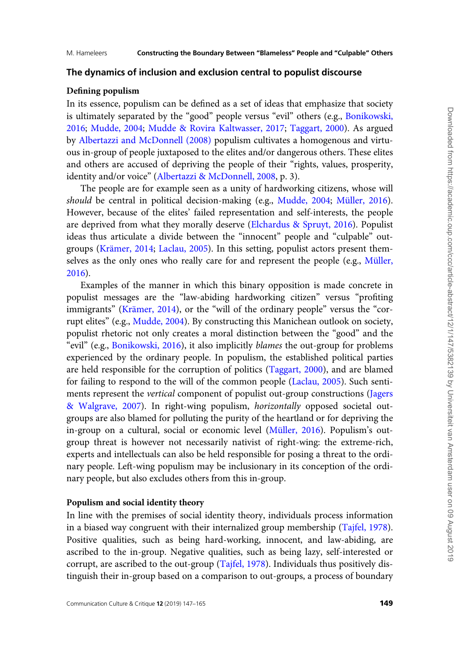## The dynamics of inclusion and exclusion central to populist discourse

# Defining populism

In its essence, populism can be defined as a set of ideas that emphasize that society is ultimately separated by the "good" people versus "evil" others (e.g., [Bonikowski,](#page-17-0) [2016;](#page-17-0) [Mudde, 2004;](#page-18-0) [Mudde & Rovira Kaltwasser, 2017](#page-18-0); [Taggart, 2000](#page-19-0)). As argued by [Albertazzi and McDonnell \(2008\)](#page-17-0) populism cultivates a homogenous and virtuous in-group of people juxtaposed to the elites and/or dangerous others. These elites and others are accused of depriving the people of their "rights, values, prosperity, identity and/or voice" ([Albertazzi & McDonnell, 2008,](#page-17-0) p. 3).

The people are for example seen as a unity of hardworking citizens, whose will should be central in political decision-making (e.g., [Mudde, 2004;](#page-18-0) [Müller, 2016](#page-18-0)). However, because of the elites' failed representation and self-interests, the people are deprived from what they morally deserve [\(Elchardus & Spruyt, 2016](#page-17-0)). Populist ideas thus articulate a divide between the "innocent" people and "culpable" outgroups [\(Krämer, 2014](#page-18-0); [Laclau, 2005\)](#page-18-0). In this setting, populist actors present themselves as the only ones who really care for and represent the people (e.g., [Müller,](#page-18-0) [2016\)](#page-18-0).

Examples of the manner in which this binary opposition is made concrete in populist messages are the "law-abiding hardworking citizen" versus "profiting immigrants" [\(Krämer, 2014](#page-18-0)), or the "will of the ordinary people" versus the "corrupt elites" (e.g., [Mudde, 2004](#page-18-0)). By constructing this Manichean outlook on society, populist rhetoric not only creates a moral distinction between the "good" and the "evil" (e.g., [Bonikowski, 2016\)](#page-17-0), it also implicitly blames the out-group for problems experienced by the ordinary people. In populism, the established political parties are held responsible for the corruption of politics [\(Taggart, 2000\)](#page-19-0), and are blamed for failing to respond to the will of the common people [\(Laclau, 2005\)](#page-18-0). Such sentiments represent the vertical component of populist out-group constructions [\(Jagers](#page-18-0) [& Walgrave, 2007\)](#page-18-0). In right-wing populism, horizontally opposed societal outgroups are also blamed for polluting the purity of the heartland or for depriving the in-group on a cultural, social or economic level ([Müller, 2016\)](#page-18-0). Populism's outgroup threat is however not necessarily nativist of right-wing: the extreme-rich, experts and intellectuals can also be held responsible for posing a threat to the ordinary people. Left-wing populism may be inclusionary in its conception of the ordinary people, but also excludes others from this in-group.

## Populism and social identity theory

In line with the premises of social identity theory, individuals process information in a biased way congruent with their internalized group membership [\(Tajfel, 1978](#page-19-0)). Positive qualities, such as being hard-working, innocent, and law-abiding, are ascribed to the in-group. Negative qualities, such as being lazy, self-interested or corrupt, are ascribed to the out-group ([Tajfel, 1978\)](#page-19-0). Individuals thus positively distinguish their in-group based on a comparison to out-groups, a process of boundary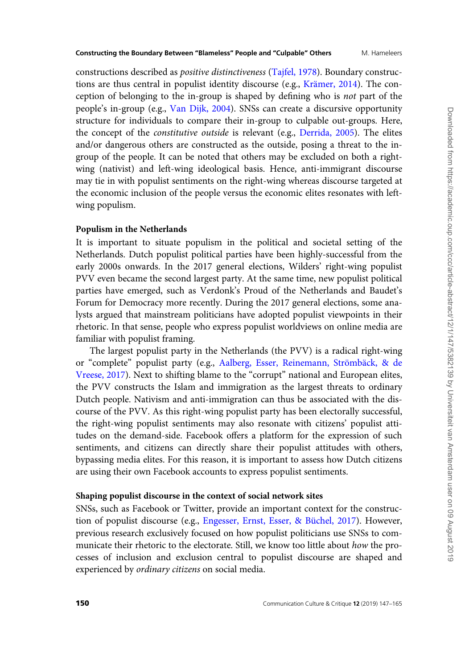constructions described as positive distinctiveness [\(Tajfel, 1978](#page-19-0)). Boundary constructions are thus central in populist identity discourse (e.g., [Krämer, 2014\)](#page-18-0). The conception of belonging to the in-group is shaped by defining who is not part of the people's in-group (e.g., [Van Dijk, 2004](#page-19-0)). SNSs can create a discursive opportunity structure for individuals to compare their in-group to culpable out-groups. Here, the concept of the constitutive outside is relevant (e.g., [Derrida, 2005](#page-17-0)). The elites and/or dangerous others are constructed as the outside, posing a threat to the ingroup of the people. It can be noted that others may be excluded on both a rightwing (nativist) and left-wing ideological basis. Hence, anti-immigrant discourse may tie in with populist sentiments on the right-wing whereas discourse targeted at the economic inclusion of the people versus the economic elites resonates with leftwing populism.

# Populism in the Netherlands

It is important to situate populism in the political and societal setting of the Netherlands. Dutch populist political parties have been highly-successful from the early 2000s onwards. In the 2017 general elections, Wilders' right-wing populist PVV even became the second largest party. At the same time, new populist political parties have emerged, such as Verdonk's Proud of the Netherlands and Baudet's Forum for Democracy more recently. During the 2017 general elections, some analysts argued that mainstream politicians have adopted populist viewpoints in their rhetoric. In that sense, people who express populist worldviews on online media are familiar with populist framing.

The largest populist party in the Netherlands (the PVV) is a radical right-wing or "complete" populist party (e.g., [Aalberg, Esser, Reinemann, Strömbäck, & de](#page-17-0) [Vreese, 2017\)](#page-17-0). Next to shifting blame to the "corrupt" national and European elites, the PVV constructs the Islam and immigration as the largest threats to ordinary Dutch people. Nativism and anti-immigration can thus be associated with the discourse of the PVV. As this right-wing populist party has been electorally successful, the right-wing populist sentiments may also resonate with citizens' populist attitudes on the demand-side. Facebook offers a platform for the expression of such sentiments, and citizens can directly share their populist attitudes with others, bypassing media elites. For this reason, it is important to assess how Dutch citizens are using their own Facebook accounts to express populist sentiments.

# Shaping populist discourse in the context of social network sites

SNSs, such as Facebook or Twitter, provide an important context for the construction of populist discourse (e.g., [Engesser, Ernst, Esser, & Büchel, 2017](#page-17-0)). However, previous research exclusively focused on how populist politicians use SNSs to communicate their rhetoric to the electorate. Still, we know too little about how the processes of inclusion and exclusion central to populist discourse are shaped and experienced by ordinary citizens on social media.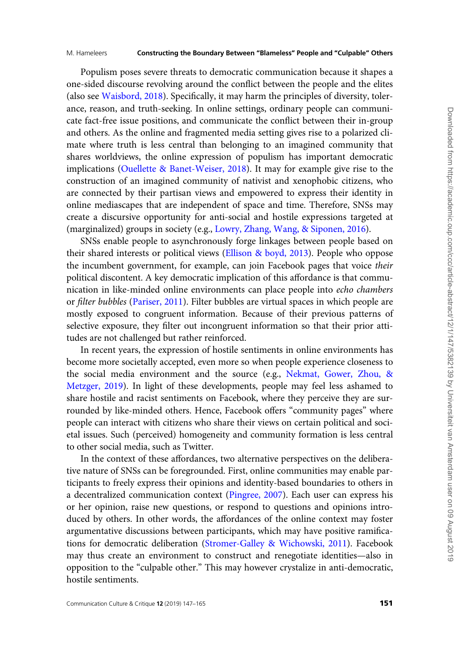Populism poses severe threats to democratic communication because it shapes a one-sided discourse revolving around the conflict between the people and the elites (also see [Waisbord, 2018](#page-19-0)). Specifically, it may harm the principles of diversity, tolerance, reason, and truth-seeking. In online settings, ordinary people can communicate fact-free issue positions, and communicate the conflict between their in-group and others. As the online and fragmented media setting gives rise to a polarized climate where truth is less central than belonging to an imagined community that shares worldviews, the online expression of populism has important democratic implications [\(Ouellette & Banet-Weiser, 2018](#page-18-0)). It may for example give rise to the construction of an imagined community of nativist and xenophobic citizens, who are connected by their partisan views and empowered to express their identity in online mediascapes that are independent of space and time. Therefore, SNSs may create a discursive opportunity for anti-social and hostile expressions targeted at (marginalized) groups in society (e.g., [Lowry, Zhang, Wang, & Siponen, 2016\)](#page-18-0).

SNSs enable people to asynchronously forge linkages between people based on their shared interests or political views ([Ellison & boyd, 2013\)](#page-17-0). People who oppose the incumbent government, for example, can join Facebook pages that voice their political discontent. A key democratic implication of this affordance is that communication in like-minded online environments can place people into echo chambers or filter bubbles ([Pariser, 2011\)](#page-18-0). Filter bubbles are virtual spaces in which people are mostly exposed to congruent information. Because of their previous patterns of selective exposure, they filter out incongruent information so that their prior attitudes are not challenged but rather reinforced.

In recent years, the expression of hostile sentiments in online environments has become more societally accepted, even more so when people experience closeness to the social media environment and the source (e.g., [Nekmat, Gower, Zhou, &](#page-18-0) [Metzger, 2019](#page-18-0)). In light of these developments, people may feel less ashamed to share hostile and racist sentiments on Facebook, where they perceive they are surrounded by like-minded others. Hence, Facebook offers "community pages" where people can interact with citizens who share their views on certain political and societal issues. Such (perceived) homogeneity and community formation is less central to other social media, such as Twitter.

In the context of these affordances, two alternative perspectives on the deliberative nature of SNSs can be foregrounded. First, online communities may enable participants to freely express their opinions and identity-based boundaries to others in a decentralized communication context ([Pingree, 2007](#page-18-0)). Each user can express his or her opinion, raise new questions, or respond to questions and opinions introduced by others. In other words, the affordances of the online context may foster argumentative discussions between participants, which may have positive ramifications for democratic deliberation ([Stromer-Galley & Wichowski, 2011](#page-19-0)). Facebook may thus create an environment to construct and renegotiate identities—also in opposition to the "culpable other." This may however crystalize in anti-democratic, hostile sentiments.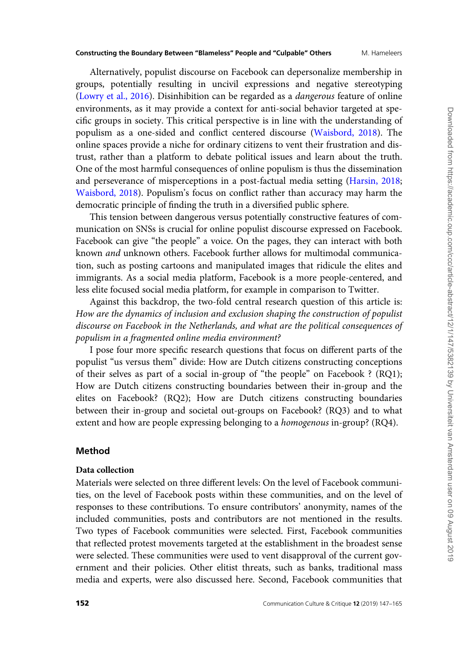Alternatively, populist discourse on Facebook can depersonalize membership in groups, potentially resulting in uncivil expressions and negative stereotyping [\(Lowry et al., 2016](#page-18-0)). Disinhibition can be regarded as a dangerous feature of online environments, as it may provide a context for anti-social behavior targeted at specific groups in society. This critical perspective is in line with the understanding of populism as a one-sided and conflict centered discourse ([Waisbord, 2018\)](#page-19-0). The online spaces provide a niche for ordinary citizens to vent their frustration and distrust, rather than a platform to debate political issues and learn about the truth. One of the most harmful consequences of online populism is thus the dissemination and perseverance of misperceptions in a post-factual media setting ([Harsin, 2018;](#page-18-0) [Waisbord, 2018](#page-19-0)). Populism's focus on conflict rather than accuracy may harm the democratic principle of finding the truth in a diversified public sphere.

This tension between dangerous versus potentially constructive features of communication on SNSs is crucial for online populist discourse expressed on Facebook. Facebook can give "the people" a voice. On the pages, they can interact with both known and unknown others. Facebook further allows for multimodal communication, such as posting cartoons and manipulated images that ridicule the elites and immigrants. As a social media platform, Facebook is a more people-centered, and less elite focused social media platform, for example in comparison to Twitter.

Against this backdrop, the two-fold central research question of this article is: How are the dynamics of inclusion and exclusion shaping the construction of populist discourse on Facebook in the Netherlands, and what are the political consequences of populism in a fragmented online media environment?

I pose four more specific research questions that focus on different parts of the populist "us versus them" divide: How are Dutch citizens constructing conceptions of their selves as part of a social in-group of "the people" on Facebook ? (RQ1); How are Dutch citizens constructing boundaries between their in-group and the elites on Facebook? (RQ2); How are Dutch citizens constructing boundaries between their in-group and societal out-groups on Facebook? (RQ3) and to what extent and how are people expressing belonging to a homogenous in-group? (RQ4).

# Method

## Data collection

Materials were selected on three different levels: On the level of Facebook communities, on the level of Facebook posts within these communities, and on the level of responses to these contributions. To ensure contributors' anonymity, names of the included communities, posts and contributors are not mentioned in the results. Two types of Facebook communities were selected. First, Facebook communities that reflected protest movements targeted at the establishment in the broadest sense were selected. These communities were used to vent disapproval of the current government and their policies. Other elitist threats, such as banks, traditional mass media and experts, were also discussed here. Second, Facebook communities that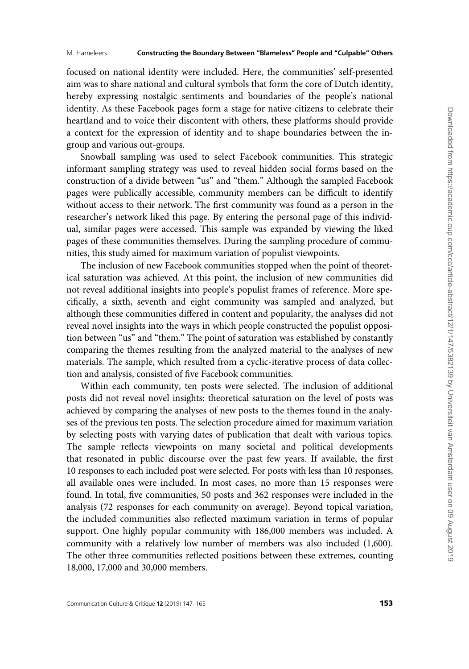focused on national identity were included. Here, the communities' self-presented aim was to share national and cultural symbols that form the core of Dutch identity, hereby expressing nostalgic sentiments and boundaries of the people's national identity. As these Facebook pages form a stage for native citizens to celebrate their heartland and to voice their discontent with others, these platforms should provide a context for the expression of identity and to shape boundaries between the ingroup and various out-groups.

Snowball sampling was used to select Facebook communities. This strategic informant sampling strategy was used to reveal hidden social forms based on the construction of a divide between "us" and "them." Although the sampled Facebook pages were publically accessible, community members can be difficult to identify without access to their network. The first community was found as a person in the researcher's network liked this page. By entering the personal page of this individual, similar pages were accessed. This sample was expanded by viewing the liked pages of these communities themselves. During the sampling procedure of communities, this study aimed for maximum variation of populist viewpoints.

The inclusion of new Facebook communities stopped when the point of theoretical saturation was achieved. At this point, the inclusion of new communities did not reveal additional insights into people's populist frames of reference. More specifically, a sixth, seventh and eight community was sampled and analyzed, but although these communities differed in content and popularity, the analyses did not reveal novel insights into the ways in which people constructed the populist opposition between "us" and "them." The point of saturation was established by constantly comparing the themes resulting from the analyzed material to the analyses of new materials. The sample, which resulted from a cyclic-iterative process of data collection and analysis, consisted of five Facebook communities.

Within each community, ten posts were selected. The inclusion of additional posts did not reveal novel insights: theoretical saturation on the level of posts was achieved by comparing the analyses of new posts to the themes found in the analyses of the previous ten posts. The selection procedure aimed for maximum variation by selecting posts with varying dates of publication that dealt with various topics. The sample reflects viewpoints on many societal and political developments that resonated in public discourse over the past few years. If available, the first 10 responses to each included post were selected. For posts with less than 10 responses, all available ones were included. In most cases, no more than 15 responses were found. In total, five communities, 50 posts and 362 responses were included in the analysis (72 responses for each community on average). Beyond topical variation, the included communities also reflected maximum variation in terms of popular support. One highly popular community with 186,000 members was included. A community with a relatively low number of members was also included (1,600). The other three communities reflected positions between these extremes, counting 18,000, 17,000 and 30,000 members.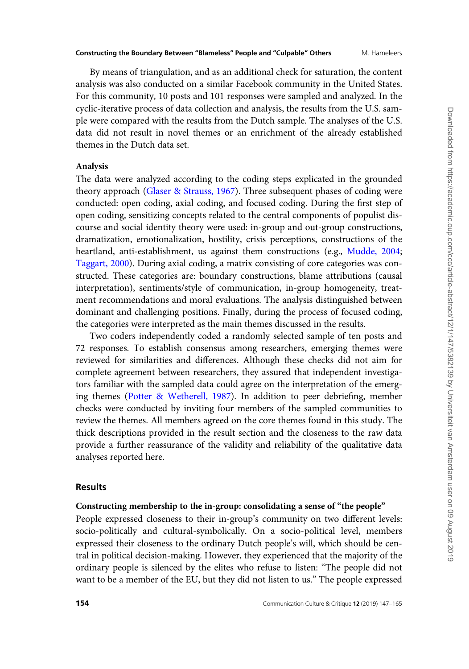By means of triangulation, and as an additional check for saturation, the content analysis was also conducted on a similar Facebook community in the United States. For this community, 10 posts and 101 responses were sampled and analyzed. In the cyclic-iterative process of data collection and analysis, the results from the U.S. sample were compared with the results from the Dutch sample. The analyses of the U.S. data did not result in novel themes or an enrichment of the already established themes in the Dutch data set.

## Analysis

The data were analyzed according to the coding steps explicated in the grounded theory approach [\(Glaser & Strauss, 1967\)](#page-17-0). Three subsequent phases of coding were conducted: open coding, axial coding, and focused coding. During the first step of open coding, sensitizing concepts related to the central components of populist discourse and social identity theory were used: in-group and out-group constructions, dramatization, emotionalization, hostility, crisis perceptions, constructions of the heartland, anti-establishment, us against them constructions (e.g., [Mudde, 2004;](#page-18-0) [Taggart, 2000\)](#page-19-0). During axial coding, a matrix consisting of core categories was constructed. These categories are: boundary constructions, blame attributions (causal interpretation), sentiments/style of communication, in-group homogeneity, treatment recommendations and moral evaluations. The analysis distinguished between dominant and challenging positions. Finally, during the process of focused coding, the categories were interpreted as the main themes discussed in the results.

Two coders independently coded a randomly selected sample of ten posts and 72 responses. To establish consensus among researchers, emerging themes were reviewed for similarities and differences. Although these checks did not aim for complete agreement between researchers, they assured that independent investigators familiar with the sampled data could agree on the interpretation of the emerging themes ([Potter & Wetherell, 1987\)](#page-18-0). In addition to peer debriefing, member checks were conducted by inviting four members of the sampled communities to review the themes. All members agreed on the core themes found in this study. The thick descriptions provided in the result section and the closeness to the raw data provide a further reassurance of the validity and reliability of the qualitative data analyses reported here.

# Results

# Constructing membership to the in-group: consolidating a sense of "the people"

People expressed closeness to their in-group's community on two different levels: socio-politically and cultural-symbolically. On a socio-political level, members expressed their closeness to the ordinary Dutch people's will, which should be central in political decision-making. However, they experienced that the majority of the ordinary people is silenced by the elites who refuse to listen: "The people did not want to be a member of the EU, but they did not listen to us." The people expressed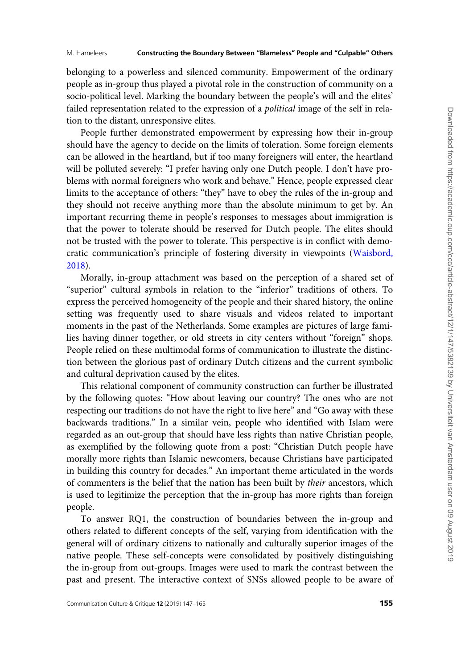belonging to a powerless and silenced community. Empowerment of the ordinary people as in-group thus played a pivotal role in the construction of community on a socio-political level. Marking the boundary between the people's will and the elites' failed representation related to the expression of a political image of the self in relation to the distant, unresponsive elites.

People further demonstrated empowerment by expressing how their in-group should have the agency to decide on the limits of toleration. Some foreign elements can be allowed in the heartland, but if too many foreigners will enter, the heartland will be polluted severely: "I prefer having only one Dutch people. I don't have problems with normal foreigners who work and behave." Hence, people expressed clear limits to the acceptance of others: "they" have to obey the rules of the in-group and they should not receive anything more than the absolute minimum to get by. An important recurring theme in people's responses to messages about immigration is that the power to tolerate should be reserved for Dutch people. The elites should not be trusted with the power to tolerate. This perspective is in conflict with democratic communication's principle of fostering diversity in viewpoints ([Waisbord,](#page-19-0) [2018\)](#page-19-0).

Morally, in-group attachment was based on the perception of a shared set of "superior" cultural symbols in relation to the "inferior" traditions of others. To express the perceived homogeneity of the people and their shared history, the online setting was frequently used to share visuals and videos related to important moments in the past of the Netherlands. Some examples are pictures of large families having dinner together, or old streets in city centers without "foreign" shops. People relied on these multimodal forms of communication to illustrate the distinction between the glorious past of ordinary Dutch citizens and the current symbolic and cultural deprivation caused by the elites.

This relational component of community construction can further be illustrated by the following quotes: "How about leaving our country? The ones who are not respecting our traditions do not have the right to live here" and "Go away with these backwards traditions." In a similar vein, people who identified with Islam were regarded as an out-group that should have less rights than native Christian people, as exemplified by the following quote from a post: "Christian Dutch people have morally more rights than Islamic newcomers, because Christians have participated in building this country for decades." An important theme articulated in the words of commenters is the belief that the nation has been built by their ancestors, which is used to legitimize the perception that the in-group has more rights than foreign people.

To answer RQ1, the construction of boundaries between the in-group and others related to different concepts of the self, varying from identification with the general will of ordinary citizens to nationally and culturally superior images of the native people. These self-concepts were consolidated by positively distinguishing the in-group from out-groups. Images were used to mark the contrast between the past and present. The interactive context of SNSs allowed people to be aware of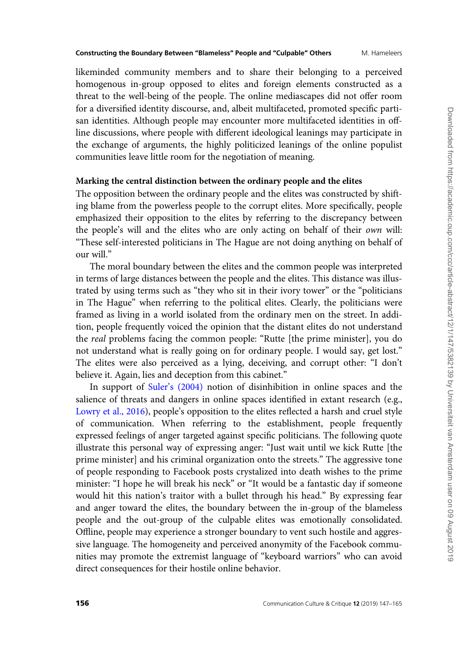likeminded community members and to share their belonging to a perceived homogenous in-group opposed to elites and foreign elements constructed as a threat to the well-being of the people. The online mediascapes did not offer room for a diversified identity discourse, and, albeit multifaceted, promoted specific partisan identities. Although people may encounter more multifaceted identities in offline discussions, where people with different ideological leanings may participate in the exchange of arguments, the highly politicized leanings of the online populist communities leave little room for the negotiation of meaning.

# Marking the central distinction between the ordinary people and the elites

The opposition between the ordinary people and the elites was constructed by shifting blame from the powerless people to the corrupt elites. More specifically, people emphasized their opposition to the elites by referring to the discrepancy between the people's will and the elites who are only acting on behalf of their own will: "These self-interested politicians in The Hague are not doing anything on behalf of our will."

The moral boundary between the elites and the common people was interpreted in terms of large distances between the people and the elites. This distance was illustrated by using terms such as "they who sit in their ivory tower" or the "politicians in The Hague" when referring to the political elites. Clearly, the politicians were framed as living in a world isolated from the ordinary men on the street. In addition, people frequently voiced the opinion that the distant elites do not understand the real problems facing the common people: "Rutte [the prime minister], you do not understand what is really going on for ordinary people. I would say, get lost." The elites were also perceived as a lying, deceiving, and corrupt other: "I don't believe it. Again, lies and deception from this cabinet."

In support of Suler'[s \(2004\)](#page-19-0) notion of disinhibition in online spaces and the salience of threats and dangers in online spaces identified in extant research (e.g., [Lowry et al., 2016](#page-18-0)), people's opposition to the elites reflected a harsh and cruel style of communication. When referring to the establishment, people frequently expressed feelings of anger targeted against specific politicians. The following quote illustrate this personal way of expressing anger: "Just wait until we kick Rutte [the prime minister] and his criminal organization onto the streets." The aggressive tone of people responding to Facebook posts crystalized into death wishes to the prime minister: "I hope he will break his neck" or "It would be a fantastic day if someone would hit this nation's traitor with a bullet through his head." By expressing fear and anger toward the elites, the boundary between the in-group of the blameless people and the out-group of the culpable elites was emotionally consolidated. Offline, people may experience a stronger boundary to vent such hostile and aggressive language. The homogeneity and perceived anonymity of the Facebook communities may promote the extremist language of "keyboard warriors" who can avoid direct consequences for their hostile online behavior.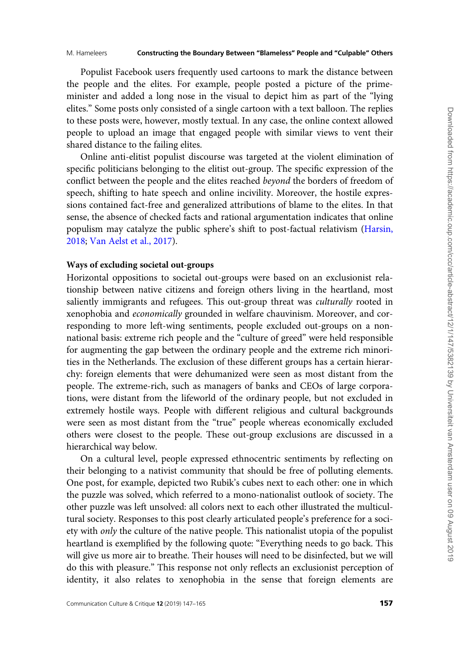Populist Facebook users frequently used cartoons to mark the distance between the people and the elites. For example, people posted a picture of the primeminister and added a long nose in the visual to depict him as part of the "lying elites." Some posts only consisted of a single cartoon with a text balloon. The replies to these posts were, however, mostly textual. In any case, the online context allowed people to upload an image that engaged people with similar views to vent their shared distance to the failing elites.

Online anti-elitist populist discourse was targeted at the violent elimination of specific politicians belonging to the elitist out-group. The specific expression of the conflict between the people and the elites reached *beyond* the borders of freedom of speech, shifting to hate speech and online incivility. Moreover, the hostile expressions contained fact-free and generalized attributions of blame to the elites. In that sense, the absence of checked facts and rational argumentation indicates that online populism may catalyze the public sphere's shift to post-factual relativism [\(Harsin,](#page-18-0) [2018;](#page-18-0) [Van Aelst et al., 2017](#page-19-0)).

## Ways of excluding societal out-groups

Horizontal oppositions to societal out-groups were based on an exclusionist relationship between native citizens and foreign others living in the heartland, most saliently immigrants and refugees. This out-group threat was culturally rooted in xenophobia and economically grounded in welfare chauvinism. Moreover, and corresponding to more left-wing sentiments, people excluded out-groups on a nonnational basis: extreme rich people and the "culture of greed" were held responsible for augmenting the gap between the ordinary people and the extreme rich minorities in the Netherlands. The exclusion of these different groups has a certain hierarchy: foreign elements that were dehumanized were seen as most distant from the people. The extreme-rich, such as managers of banks and CEOs of large corporations, were distant from the lifeworld of the ordinary people, but not excluded in extremely hostile ways. People with different religious and cultural backgrounds were seen as most distant from the "true" people whereas economically excluded others were closest to the people. These out-group exclusions are discussed in a hierarchical way below.

On a cultural level, people expressed ethnocentric sentiments by reflecting on their belonging to a nativist community that should be free of polluting elements. One post, for example, depicted two Rubik's cubes next to each other: one in which the puzzle was solved, which referred to a mono-nationalist outlook of society. The other puzzle was left unsolved: all colors next to each other illustrated the multicultural society. Responses to this post clearly articulated people's preference for a society with only the culture of the native people. This nationalist utopia of the populist heartland is exemplified by the following quote: "Everything needs to go back. This will give us more air to breathe. Their houses will need to be disinfected, but we will do this with pleasure." This response not only reflects an exclusionist perception of identity, it also relates to xenophobia in the sense that foreign elements are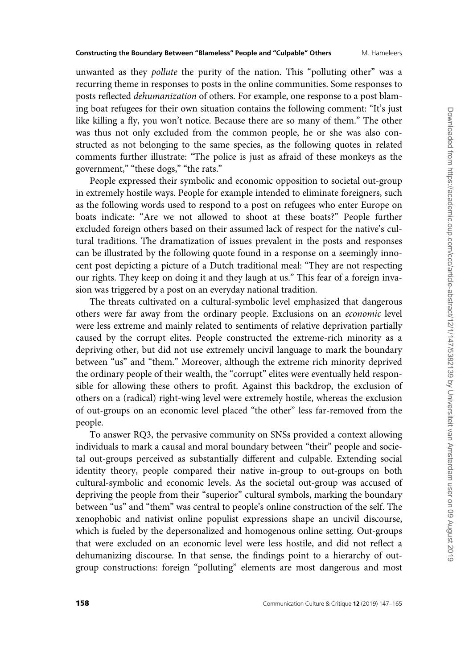unwanted as they pollute the purity of the nation. This "polluting other" was a recurring theme in responses to posts in the online communities. Some responses to posts reflected dehumanization of others. For example, one response to a post blaming boat refugees for their own situation contains the following comment: "It's just like killing a fly, you won't notice. Because there are so many of them." The other was thus not only excluded from the common people, he or she was also constructed as not belonging to the same species, as the following quotes in related comments further illustrate: "The police is just as afraid of these monkeys as the government," "these dogs," "the rats."

People expressed their symbolic and economic opposition to societal out-group in extremely hostile ways. People for example intended to eliminate foreigners, such as the following words used to respond to a post on refugees who enter Europe on boats indicate: "Are we not allowed to shoot at these boats?" People further excluded foreign others based on their assumed lack of respect for the native's cultural traditions. The dramatization of issues prevalent in the posts and responses can be illustrated by the following quote found in a response on a seemingly innocent post depicting a picture of a Dutch traditional meal: "They are not respecting our rights. They keep on doing it and they laugh at us." This fear of a foreign invasion was triggered by a post on an everyday national tradition.

The threats cultivated on a cultural-symbolic level emphasized that dangerous others were far away from the ordinary people. Exclusions on an economic level were less extreme and mainly related to sentiments of relative deprivation partially caused by the corrupt elites. People constructed the extreme-rich minority as a depriving other, but did not use extremely uncivil language to mark the boundary between "us" and "them." Moreover, although the extreme rich minority deprived the ordinary people of their wealth, the "corrupt" elites were eventually held responsible for allowing these others to profit. Against this backdrop, the exclusion of others on a (radical) right-wing level were extremely hostile, whereas the exclusion of out-groups on an economic level placed "the other" less far-removed from the people.

To answer RQ3, the pervasive community on SNSs provided a context allowing individuals to mark a causal and moral boundary between "their" people and societal out-groups perceived as substantially different and culpable. Extending social identity theory, people compared their native in-group to out-groups on both cultural-symbolic and economic levels. As the societal out-group was accused of depriving the people from their "superior" cultural symbols, marking the boundary between "us" and "them" was central to people's online construction of the self. The xenophobic and nativist online populist expressions shape an uncivil discourse, which is fueled by the depersonalized and homogenous online setting. Out-groups that were excluded on an economic level were less hostile, and did not reflect a dehumanizing discourse. In that sense, the findings point to a hierarchy of outgroup constructions: foreign "polluting" elements are most dangerous and most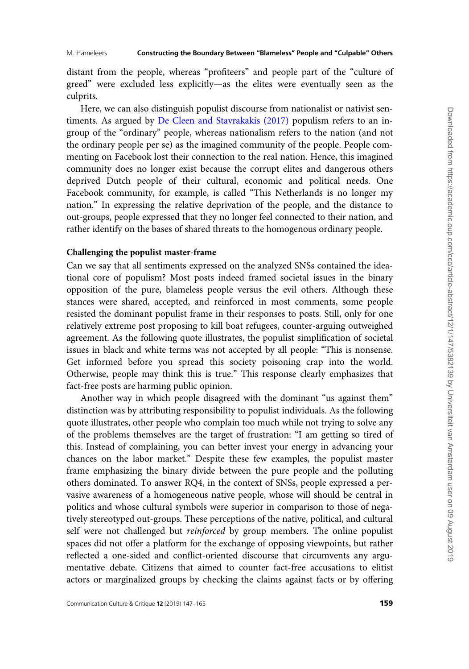distant from the people, whereas "profiteers" and people part of the "culture of greed" were excluded less explicitly—as the elites were eventually seen as the culprits.

Here, we can also distinguish populist discourse from nationalist or nativist sentiments. As argued by [De Cleen and Stavrakakis \(2017\)](#page-17-0) populism refers to an ingroup of the "ordinary" people, whereas nationalism refers to the nation (and not the ordinary people per se) as the imagined community of the people. People commenting on Facebook lost their connection to the real nation. Hence, this imagined community does no longer exist because the corrupt elites and dangerous others deprived Dutch people of their cultural, economic and political needs. One Facebook community, for example, is called "This Netherlands is no longer my nation." In expressing the relative deprivation of the people, and the distance to out-groups, people expressed that they no longer feel connected to their nation, and rather identify on the bases of shared threats to the homogenous ordinary people.

# Challenging the populist master-frame

Can we say that all sentiments expressed on the analyzed SNSs contained the ideational core of populism? Most posts indeed framed societal issues in the binary opposition of the pure, blameless people versus the evil others. Although these stances were shared, accepted, and reinforced in most comments, some people resisted the dominant populist frame in their responses to posts. Still, only for one relatively extreme post proposing to kill boat refugees, counter-arguing outweighed agreement. As the following quote illustrates, the populist simplification of societal issues in black and white terms was not accepted by all people: "This is nonsense. Get informed before you spread this society poisoning crap into the world. Otherwise, people may think this is true." This response clearly emphasizes that fact-free posts are harming public opinion.

Another way in which people disagreed with the dominant "us against them" distinction was by attributing responsibility to populist individuals. As the following quote illustrates, other people who complain too much while not trying to solve any of the problems themselves are the target of frustration: "I am getting so tired of this. Instead of complaining, you can better invest your energy in advancing your chances on the labor market." Despite these few examples, the populist master frame emphasizing the binary divide between the pure people and the polluting others dominated. To answer RQ4, in the context of SNSs, people expressed a pervasive awareness of a homogeneous native people, whose will should be central in politics and whose cultural symbols were superior in comparison to those of negatively stereotyped out-groups. These perceptions of the native, political, and cultural self were not challenged but *reinforced* by group members. The online populist spaces did not offer a platform for the exchange of opposing viewpoints, but rather reflected a one-sided and conflict-oriented discourse that circumvents any argumentative debate. Citizens that aimed to counter fact-free accusations to elitist actors or marginalized groups by checking the claims against facts or by offering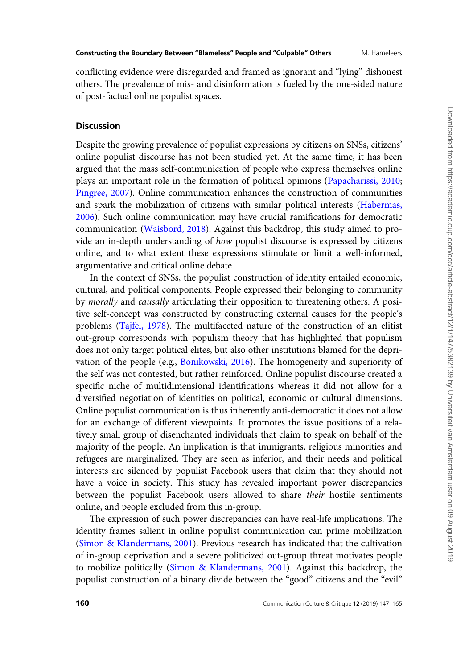conflicting evidence were disregarded and framed as ignorant and "lying" dishonest others. The prevalence of mis- and disinformation is fueled by the one-sided nature of post-factual online populist spaces.

# **Discussion**

Despite the growing prevalence of populist expressions by citizens on SNSs, citizens' online populist discourse has not been studied yet. At the same time, it has been argued that the mass self-communication of people who express themselves online plays an important role in the formation of political opinions ([Papacharissi, 2010;](#page-18-0) [Pingree, 2007](#page-18-0)). Online communication enhances the construction of communities and spark the mobilization of citizens with similar political interests ([Habermas,](#page-18-0) [2006\)](#page-18-0). Such online communication may have crucial ramifications for democratic communication ([Waisbord, 2018](#page-19-0)). Against this backdrop, this study aimed to provide an in-depth understanding of how populist discourse is expressed by citizens online, and to what extent these expressions stimulate or limit a well-informed, argumentative and critical online debate.

In the context of SNSs, the populist construction of identity entailed economic, cultural, and political components. People expressed their belonging to community by morally and causally articulating their opposition to threatening others. A positive self-concept was constructed by constructing external causes for the people's problems [\(Tajfel, 1978\)](#page-19-0). The multifaceted nature of the construction of an elitist out-group corresponds with populism theory that has highlighted that populism does not only target political elites, but also other institutions blamed for the deprivation of the people (e.g., [Bonikowski, 2016\)](#page-17-0). The homogeneity and superiority of the self was not contested, but rather reinforced. Online populist discourse created a specific niche of multidimensional identifications whereas it did not allow for a diversified negotiation of identities on political, economic or cultural dimensions. Online populist communication is thus inherently anti-democratic: it does not allow for an exchange of different viewpoints. It promotes the issue positions of a relatively small group of disenchanted individuals that claim to speak on behalf of the majority of the people. An implication is that immigrants, religious minorities and refugees are marginalized. They are seen as inferior, and their needs and political interests are silenced by populist Facebook users that claim that they should not have a voice in society. This study has revealed important power discrepancies between the populist Facebook users allowed to share their hostile sentiments online, and people excluded from this in-group.

The expression of such power discrepancies can have real-life implications. The identity frames salient in online populist communication can prime mobilization [\(Simon & Klandermans, 2001\)](#page-18-0). Previous research has indicated that the cultivation of in-group deprivation and a severe politicized out-group threat motivates people to mobilize politically ([Simon & Klandermans, 2001](#page-18-0)). Against this backdrop, the populist construction of a binary divide between the "good" citizens and the "evil"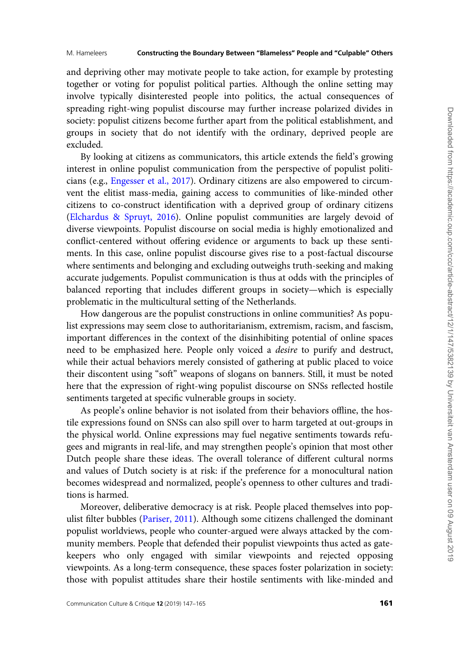and depriving other may motivate people to take action, for example by protesting together or voting for populist political parties. Although the online setting may involve typically disinterested people into politics, the actual consequences of spreading right-wing populist discourse may further increase polarized divides in society: populist citizens become further apart from the political establishment, and groups in society that do not identify with the ordinary, deprived people are excluded.

By looking at citizens as communicators, this article extends the field's growing interest in online populist communication from the perspective of populist politicians (e.g., [Engesser et al., 2017\)](#page-17-0). Ordinary citizens are also empowered to circumvent the elitist mass-media, gaining access to communities of like-minded other citizens to co-construct identification with a deprived group of ordinary citizens [\(Elchardus & Spruyt, 2016\)](#page-17-0). Online populist communities are largely devoid of diverse viewpoints. Populist discourse on social media is highly emotionalized and conflict-centered without offering evidence or arguments to back up these sentiments. In this case, online populist discourse gives rise to a post-factual discourse where sentiments and belonging and excluding outweighs truth-seeking and making accurate judgements. Populist communication is thus at odds with the principles of balanced reporting that includes different groups in society—which is especially problematic in the multicultural setting of the Netherlands.

How dangerous are the populist constructions in online communities? As populist expressions may seem close to authoritarianism, extremism, racism, and fascism, important differences in the context of the disinhibiting potential of online spaces need to be emphasized here. People only voiced a desire to purify and destruct, while their actual behaviors merely consisted of gathering at public placed to voice their discontent using "soft" weapons of slogans on banners. Still, it must be noted here that the expression of right-wing populist discourse on SNSs reflected hostile sentiments targeted at specific vulnerable groups in society.

As people's online behavior is not isolated from their behaviors offline, the hostile expressions found on SNSs can also spill over to harm targeted at out-groups in the physical world. Online expressions may fuel negative sentiments towards refugees and migrants in real-life, and may strengthen people's opinion that most other Dutch people share these ideas. The overall tolerance of different cultural norms and values of Dutch society is at risk: if the preference for a monocultural nation becomes widespread and normalized, people's openness to other cultures and traditions is harmed.

Moreover, deliberative democracy is at risk. People placed themselves into populist filter bubbles [\(Pariser, 2011\)](#page-18-0). Although some citizens challenged the dominant populist worldviews, people who counter-argued were always attacked by the community members. People that defended their populist viewpoints thus acted as gatekeepers who only engaged with similar viewpoints and rejected opposing viewpoints. As a long-term consequence, these spaces foster polarization in society: those with populist attitudes share their hostile sentiments with like-minded and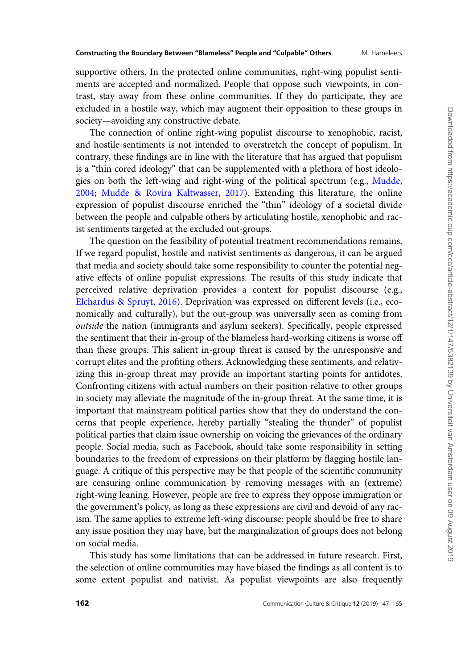supportive others. In the protected online communities, right-wing populist sentiments are accepted and normalized. People that oppose such viewpoints, in contrast, stay away from these online communities. If they do participate, they are excluded in a hostile way, which may augment their opposition to these groups in society—avoiding any constructive debate.

The connection of online right-wing populist discourse to xenophobic, racist, and hostile sentiments is not intended to overstretch the concept of populism. In contrary, these findings are in line with the literature that has argued that populism is a "thin cored ideology" that can be supplemented with a plethora of host ideologies on both the left-wing and right-wing of the political spectrum (e.g., [Mudde,](#page-18-0) [2004;](#page-18-0) [Mudde & Rovira Kaltwasser, 2017\)](#page-18-0). Extending this literature, the online expression of populist discourse enriched the "thin" ideology of a societal divide between the people and culpable others by articulating hostile, xenophobic and racist sentiments targeted at the excluded out-groups.

The question on the feasibility of potential treatment recommendations remains. If we regard populist, hostile and nativist sentiments as dangerous, it can be argued that media and society should take some responsibility to counter the potential negative effects of online populist expressions. The results of this study indicate that perceived relative deprivation provides a context for populist discourse (e.g., [Elchardus & Spruyt, 2016](#page-17-0)). Deprivation was expressed on different levels (i.e., economically and culturally), but the out-group was universally seen as coming from outside the nation (immigrants and asylum seekers). Specifically, people expressed the sentiment that their in-group of the blameless hard-working citizens is worse off than these groups. This salient in-group threat is caused by the unresponsive and corrupt elites and the profiting others. Acknowledging these sentiments, and relativizing this in-group threat may provide an important starting points for antidotes. Confronting citizens with actual numbers on their position relative to other groups in society may alleviate the magnitude of the in-group threat. At the same time, it is important that mainstream political parties show that they do understand the concerns that people experience, hereby partially "stealing the thunder" of populist political parties that claim issue ownership on voicing the grievances of the ordinary people. Social media, such as Facebook, should take some responsibility in setting boundaries to the freedom of expressions on their platform by flagging hostile language. A critique of this perspective may be that people of the scientific community are censuring online communication by removing messages with an (extreme) right-wing leaning. However, people are free to express they oppose immigration or the government's policy, as long as these expressions are civil and devoid of any racism. The same applies to extreme left-wing discourse: people should be free to share any issue position they may have, but the marginalization of groups does not belong on social media.

This study has some limitations that can be addressed in future research. First, the selection of online communities may have biased the findings as all content is to some extent populist and nativist. As populist viewpoints are also frequently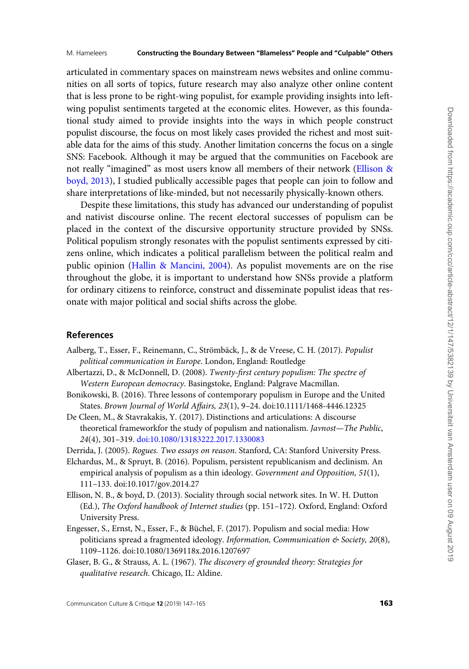<span id="page-17-0"></span>articulated in commentary spaces on mainstream news websites and online communities on all sorts of topics, future research may also analyze other online content that is less prone to be right-wing populist, for example providing insights into leftwing populist sentiments targeted at the economic elites. However, as this foundational study aimed to provide insights into the ways in which people construct populist discourse, the focus on most likely cases provided the richest and most suitable data for the aims of this study. Another limitation concerns the focus on a single SNS: Facebook. Although it may be argued that the communities on Facebook are not really "imagined" as most users know all members of their network (Ellison & boyd, 2013), I studied publically accessible pages that people can join to follow and share interpretations of like-minded, but not necessarily physically-known others.

Despite these limitations, this study has advanced our understanding of populist and nativist discourse online. The recent electoral successes of populism can be placed in the context of the discursive opportunity structure provided by SNSs. Political populism strongly resonates with the populist sentiments expressed by citizens online, which indicates a political parallelism between the political realm and public opinion ([Hallin & Mancini, 2004\)](#page-18-0). As populist movements are on the rise throughout the globe, it is important to understand how SNSs provide a platform for ordinary citizens to reinforce, construct and disseminate populist ideas that resonate with major political and social shifts across the globe.

## References

- Aalberg, T., Esser, F., Reinemann, C., Strömbäck, J., & de Vreese, C. H. (2017). Populist political communication in Europe. London, England: Routledge
- Albertazzi, D., & McDonnell, D. (2008). Twenty-first century populism: The spectre of Western European democracy. Basingstoke, England: Palgrave Macmillan.
- Bonikowski, B. (2016). Three lessons of contemporary populism in Europe and the United States. Brown Journal of World Affairs, 23(1), 9–24. [doi:10.1111/1468-4446.12325](http://dx.doi.org/10.1111/1468-4446.12325)
- De Cleen, M., & Stavrakakis, Y. (2017). Distinctions and articulations: A discourse theoretical frameworkfor the study of populism and nationalism. Javnost-The Public, 24(4), 301–319. [doi:10.1080/13183222.2017.1330083](http://dx.doi.org/10.1080/13183222.2017.1330083)

Derrida, J. (2005). Rogues. Two essays on reason. Stanford, CA: Stanford University Press.

- Elchardus, M., & Spruyt, B. (2016). Populism, persistent republicanism and declinism. An empirical analysis of populism as a thin ideology. Government and Opposition, 51(1), 111–133. [doi:10.1017/gov.2014.27](http://dx.doi.org/10.1017/gov.2014.27)
- Ellison, N. B., & boyd, D. (2013). Sociality through social network sites. In W. H. Dutton (Ed.), The Oxford handbook of Internet studies (pp. 151–172). Oxford, England: Oxford University Press.
- Engesser, S., Ernst, N., Esser, F., & Büchel, F. (2017). Populism and social media: How politicians spread a fragmented ideology. Information, Communication & Society, 20(8), 1109–1126. [doi:10.1080/1369118x.2016.1207697](http://dx.doi.org/10.1080/1369118x.2016.1207697)
- Glaser, B. G., & Strauss, A. L. (1967). The discovery of grounded theory: Strategies for qualitative research. Chicago, IL: Aldine.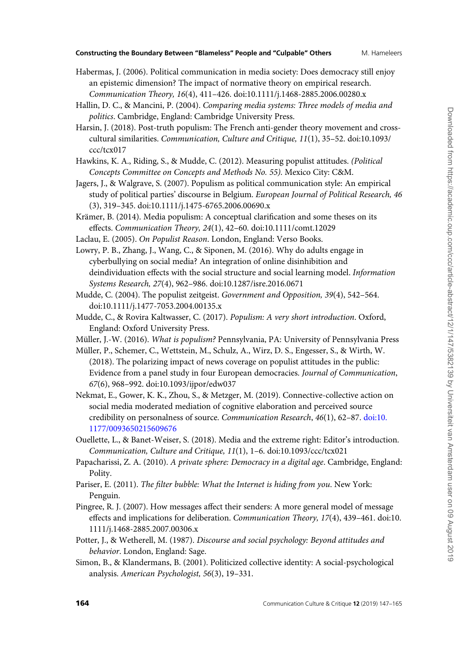- <span id="page-18-0"></span>Habermas, J. (2006). Political communication in media society: Does democracy still enjoy an epistemic dimension? The impact of normative theory on empirical research. Communication Theory, 16(4), 411–426. [doi:10.1111/j.1468-2885.2006.00280.x](http://dx.doi.org/10.1111/j.1468-2885.2006.00280.x)
- Hallin, D. C., & Mancini, P. (2004). Comparing media systems: Three models of media and politics. Cambridge, England: Cambridge University Press.
- Harsin, J. (2018). Post-truth populism: The French anti-gender theory movement and crosscultural similarities. Communication, Culture and Critique, 11(1), 35–52. [doi:10.1093/](http://dx.doi.org/10.1093/ccc/tcx017) [ccc/tcx017](http://dx.doi.org/10.1093/ccc/tcx017)
- Hawkins, K. A., Riding, S., & Mudde, C. (2012). Measuring populist attitudes. (Political Concepts Committee on Concepts and Methods No. 55). Mexico City: C&M.
- Jagers, J., & Walgrave, S. (2007). Populism as political communication style: An empirical study of political parties' discourse in Belgium. European Journal of Political Research, 46 (3), 319–345. [doi:10.1111/j.1475-6765.2006.00690.x](http://dx.doi.org/10.1111/j.1475-6765.2006.00690.x)
- Krämer, B. (2014). Media populism: A conceptual clarification and some theses on its effects. Communication Theory, 24(1), 42–60. [doi:10.1111/comt.12029](http://dx.doi.org/10.1111/comt.12029)
- Laclau, E. (2005). On Populist Reason. London, England: Verso Books.

Lowry, P. B., Zhang, J., Wang, C., & Siponen, M. (2016). Why do adults engage in cyberbullying on social media? An integration of online disinhibition and deindividuation effects with the social structure and social learning model. Information Systems Research, 27(4), 962–986. [doi:10.1287/isre.2016.0671](http://dx.doi.org/10.1287/isre.2016.0671)

Mudde, C. (2004). The populist zeitgeist. Government and Opposition, 39(4), 542–564. [doi:10.1111/j.1477-7053.2004.00135.x](http://dx.doi.org/10.1111/j.1477-7053.2004.00135.x)

Mudde, C., & Rovira Kaltwasser, C. (2017). Populism: A very short introduction. Oxford, England: Oxford University Press.

Müller, J.-W. (2016). What is populism? Pennsylvania, PA: University of Pennsylvania Press

Müller, P., Schemer, C., Wettstein, M., Schulz, A., Wirz, D. S., Engesser, S., & Wirth, W. (2018). The polarizing impact of news coverage on populist attitudes in the public: Evidence from a panel study in four European democracies. Journal of Communication, 67(6), 968–992. doi:10.1093/ijpor/edw037

- Nekmat, E., Gower, K. K., Zhou, S., & Metzger, M. (2019). Connective-collective action on social media moderated mediation of cognitive elaboration and perceived source credibility on personalness of source. Communication Research, 46(1), 62–87. [doi:10.](http://dx.doi.org/10.1177/0093650215609676) [1177/0093650215609676](http://dx.doi.org/10.1177/0093650215609676)
- Ouellette, L., & Banet-Weiser, S. (2018). Media and the extreme right: Editor's introduction. Communication, Culture and Critique, 11(1), 1–6. [doi:10.1093/ccc/tcx021](http://dx.doi.org/10.1093/ccc/tcx021)
- Papacharissi, Z. A. (2010). A private sphere: Democracy in a digital age. Cambridge, England: Polity.
- Pariser, E. (2011). The filter bubble: What the Internet is hiding from you. New York: Penguin.
- Pingree, R. J. (2007). How messages affect their senders: A more general model of message effects and implications for deliberation. Communication Theory, 17(4), 439–461. [doi:10.](http://dx.doi.org/10.1111/j.1468-2885.2007.00306.x) [1111/j.1468-2885.2007.00306.x](http://dx.doi.org/10.1111/j.1468-2885.2007.00306.x)
- Potter, J., & Wetherell, M. (1987). Discourse and social psychology: Beyond attitudes and behavior. London, England: Sage.
- Simon, B., & Klandermans, B. (2001). Politicized collective identity: A social-psychological analysis. American Psychologist, 56(3), 19–331.